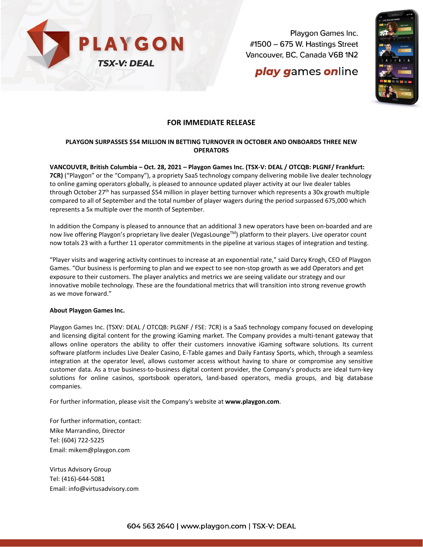

Playgon Games Inc. #1500 - 675 W. Hastings Street Vancouver, BC, Canada V6B 1N2

# play games online



### **FOR IMMEDIATE RELEASE**

### **PLAYGON SURPASSES \$54 MILLION IN BETTING TURNOVER IN OCTOBER AND ONBOARDS THREE NEW OPERATORS**

**VANCOUVER, British Columbia – Oct. 28, 2021 – [Playgon Games Inc. \(TSX-V: DEAL / OTCQB: PLGNF/ Frankfurt:](https://www.investorbrandnetwork.com/clients/playgon-games-inc/)  [7CR\)](https://www.investorbrandnetwork.com/clients/playgon-games-inc/)** ("Playgon" or the "Company"), a propriety SaaS technology company delivering mobile live dealer technology to online gaming operators globally, is pleased to announce updated player activity at our live dealer tables through October 27<sup>th</sup> has surpassed \$54 million in player betting turnover which represents a 30x growth multiple compared to all of September and the total number of player wagers during the period surpassed 675,000 which represents a 5x multiple over the month of September.

In addition the Company is pleased to announce that an additional 3 new operators have been on-boarded and are now live offering Playgon's proprietary live dealer (VegasLounge<sup>TM</sup>) platform to their players. Live operator count now totals 23 with a further 11 operator commitments in the pipeline at various stages of integration and testing.

"Player visits and wagering activity continues to increase at an exponential rate," said Darcy Krogh, CEO of Playgon Games. "Our business is performing to plan and we expect to see non-stop growth as we add Operators and get exposure to their customers. The player analytics and metrics we are seeing validate our strategy and our innovative mobile technology. These are the foundational metrics that will transition into strong revenue growth as we move forward."

#### **About Playgon Games Inc.**

Playgon Games Inc. (TSXV: DEAL / OTCQB: PLGNF / FSE: 7CR) is a SaaS technology company focused on developing and licensing digital content for the growing iGaming market. The Company provides a multi-tenant gateway that allows online operators the ability to offer their customers innovative iGaming software solutions. Its current software platform includes Live Dealer Casino, E-Table games and Daily Fantasy Sports, which, through a seamless integration at the operator level, allows customer access without having to share or compromise any sensitive customer data. As a true business-to-business digital content provider, the Company's products are ideal turn-key solutions for online casinos, sportsbook operators, land-based operators, media groups, and big database companies.

For further information, please visit the Company's website at **[www.playgon.com](http://www.playgon.com/)**.

For further information, contact: Mike Marrandino, Director Tel: (604) 722-5225 Email: [mikem@playgon.com](mailto:mikem@playgon.com)

Virtus Advisory Group Tel: (416)-644-5081 Email: info@virtusadvisory.com